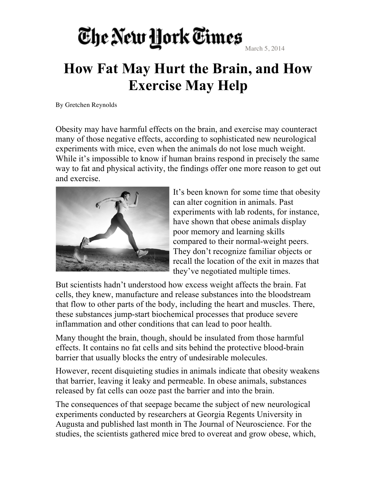## The New York Times

March 5, 2014

## **How Fat May Hurt the Brain, and How Exercise May Help**

By Gretchen Reynolds

Obesity may have harmful effects on the brain, and exercise may counteract many of those negative effects, according to sophisticated new neurological experiments with mice, even when the animals do not lose much weight. While it's impossible to know if human brains respond in precisely the same way to fat and physical activity, the findings offer one more reason to get out and exercise.



It's been known for some time that obesity can alter cognition in animals. Past experiments with lab rodents, for instance, have shown that obese animals display poor memory and learning skills compared to their normal-weight peers. They don't recognize familiar objects or recall the location of the exit in mazes that they've negotiated multiple times.

But scientists hadn't understood how excess weight affects the brain. Fat cells, they knew, manufacture and release substances into the bloodstream that flow to other parts of the body, including the heart and muscles. There, these substances jump-start biochemical processes that produce severe inflammation and other conditions that can lead to poor health.

Many thought the brain, though, should be insulated from those harmful effects. It contains no fat cells and sits behind the protective blood-brain barrier that usually blocks the entry of undesirable molecules.

However, recent disquieting studies in animals indicate that obesity weakens that barrier, leaving it leaky and permeable. In obese animals, substances released by fat cells can ooze past the barrier and into the brain.

The consequences of that seepage became the subject of new neurological experiments conducted by researchers at Georgia Regents University in Augusta and published last month in The Journal of Neuroscience. For the studies, the scientists gathered mice bred to overeat and grow obese, which,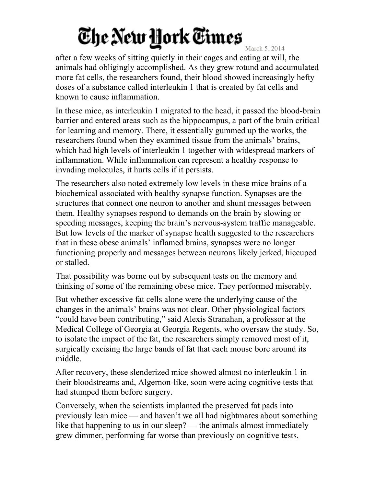## The New York Times

March 5, 2014

after a few weeks of sitting quietly in their cages and eating at will, the animals had obligingly accomplished. As they grew rotund and accumulated more fat cells, the researchers found, their blood showed increasingly hefty doses of a substance called interleukin 1 that is created by fat cells and known to cause inflammation.

In these mice, as interleukin 1 migrated to the head, it passed the blood-brain barrier and entered areas such as the hippocampus, a part of the brain critical for learning and memory. There, it essentially gummed up the works, the researchers found when they examined tissue from the animals' brains, which had high levels of interleukin 1 together with widespread markers of inflammation. While inflammation can represent a healthy response to invading molecules, it hurts cells if it persists.

The researchers also noted extremely low levels in these mice brains of a biochemical associated with healthy synapse function. Synapses are the structures that connect one neuron to another and shunt messages between them. Healthy synapses respond to demands on the brain by slowing or speeding messages, keeping the brain's nervous-system traffic manageable. But low levels of the marker of synapse health suggested to the researchers that in these obese animals' inflamed brains, synapses were no longer functioning properly and messages between neurons likely jerked, hiccuped or stalled.

That possibility was borne out by subsequent tests on the memory and thinking of some of the remaining obese mice. They performed miserably.

But whether excessive fat cells alone were the underlying cause of the changes in the animals' brains was not clear. Other physiological factors "could have been contributing," said Alexis Stranahan, a professor at the Medical College of Georgia at Georgia Regents, who oversaw the study. So, to isolate the impact of the fat, the researchers simply removed most of it, surgically excising the large bands of fat that each mouse bore around its middle.

After recovery, these slenderized mice showed almost no interleukin 1 in their bloodstreams and, Algernon-like, soon were acing cognitive tests that had stumped them before surgery.

Conversely, when the scientists implanted the preserved fat pads into previously lean mice — and haven't we all had nightmares about something like that happening to us in our sleep? — the animals almost immediately grew dimmer, performing far worse than previously on cognitive tests,